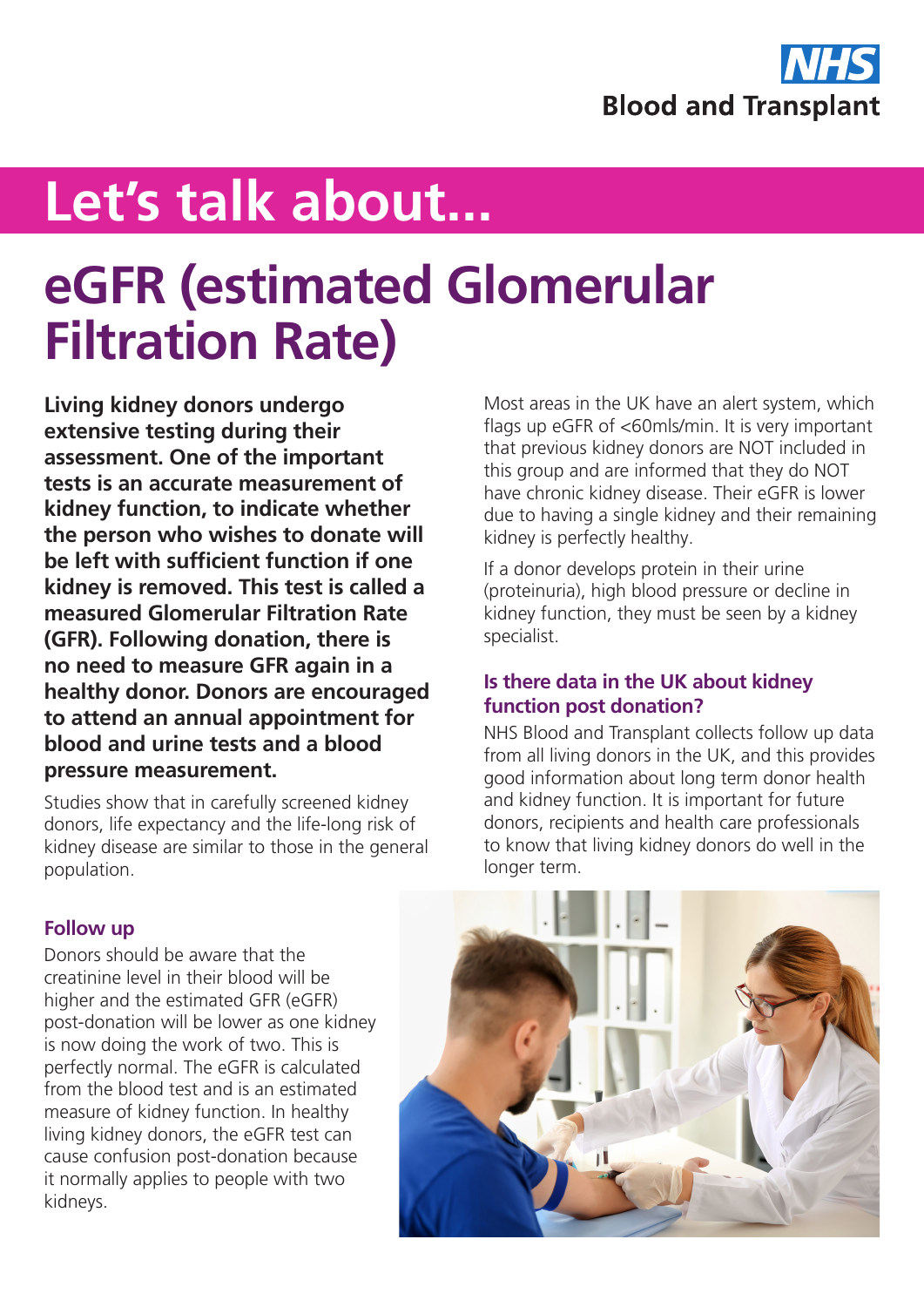

# **Let's talk about...**

# **eGFR (estimated Glomerular Filtration Rate)**

**Living kidney donors undergo extensive testing during their assessment. One of the important tests is an accurate measurement of kidney function, to indicate whether the person who wishes to donate will be left with sufficient function if one kidney is removed. This test is called a measured Glomerular Filtration Rate (GFR). Following donation, there is no need to measure GFR again in a healthy donor. Donors are encouraged to attend an annual appointment for blood and urine tests and a blood pressure measurement.** 

Studies show that in carefully screened kidney donors, life expectancy and the life-long risk of kidney disease are similar to those in the general population.

Most areas in the UK have an alert system, which flags up eGFR of <60mls/min. It is very important that previous kidney donors are NOT included in this group and are informed that they do NOT have chronic kidney disease. Their eGFR is lower due to having a single kidney and their remaining kidney is perfectly healthy.

If a donor develops protein in their urine (proteinuria), high blood pressure or decline in kidney function, they must be seen by a kidney specialist.

#### **Is there data in the UK about kidney function post donation?**

NHS Blood and Transplant collects follow up data from all living donors in the UK, and this provides good information about long term donor health and kidney function. It is important for future donors, recipients and health care professionals to know that living kidney donors do well in the longer term.

### **Follow up**

Donors should be aware that the creatinine level in their blood will be higher and the estimated GFR (eGFR) post-donation will be lower as one kidney is now doing the work of two. This is perfectly normal. The eGFR is calculated from the blood test and is an estimated measure of kidney function. In healthy living kidney donors, the eGFR test can cause confusion post-donation because it normally applies to people with two kidneys.